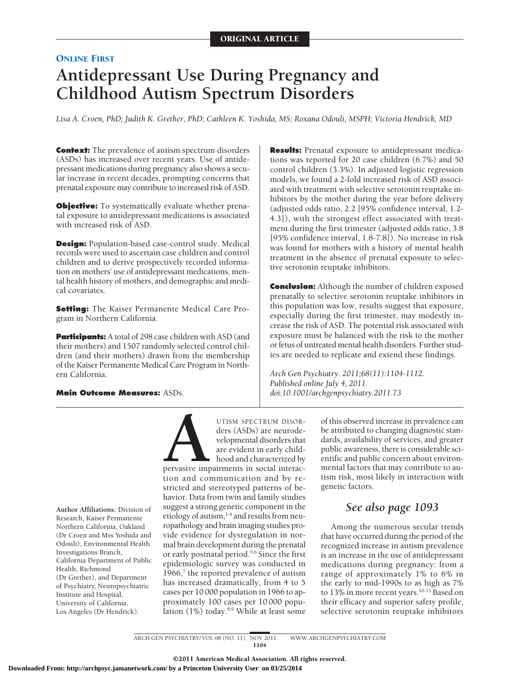# **ONLINE FIRST Antidepressant Use During Pregnancy and Childhood Autism Spectrum Disorders**

*Lisa A. Croen, PhD; Judith K. Grether, PhD; Cathleen K. Yoshida, MS; Roxana Odouli, MSPH; Victoria Hendrick, MD*

**Context:** The prevalence of autism spectrum disorders (ASDs) has increased over recent years. Use of antidepressant medications during pregnancy also shows a secular increase in recent decades, prompting concerns that prenatal exposure may contribute to increased risk of ASD.

**Objective:** To systematically evaluate whether prenatal exposure to antidepressant medications is associated with increased risk of ASD.

**Design:** Population-based case-control study. Medical records were used to ascertain case children and control children and to derive prospectively recorded information on mothers' use of antidepressant medications, mental health history of mothers, and demographic and medical covariates.

**Setting:** The Kaiser Permanente Medical Care Program in Northern California.

**Participants:** A total of 298 case children with ASD (and their mothers) and 1507 randomly selected control children (and their mothers) drawn from the membership of the Kaiser Permanente Medical Care Program in Northern California.

**Main Outcome Measures:** ASDs.

**Results:** Prenatal exposure to antidepressant medications was reported for 20 case children (6.7%) and 50 control children (3.3%). In adjusted logistic regression models, we found a 2-fold increased risk of ASD associated with treatment with selective serotonin reuptake inhibitors by the mother during the year before delivery (adjusted odds ratio, 2.2 [95% confidence interval, 1.2- 4.3]), with the strongest effect associated with treatment during the first trimester (adjusted odds ratio, 3.8 [95% confidence interval, 1.8-7.8]). No increase in risk was found for mothers with a history of mental health treatment in the absence of prenatal exposure to selective serotonin reuptake inhibitors.

**Conclusion:** Although the number of children exposed prenatally to selective serotonin reuptake inhibitors in this population was low, results suggest that exposure, especially during the first trimester, may modestly increase the risk of ASD. The potential risk associated with exposure must be balanced with the risk to the mother or fetus of untreated mental health disorders. Further studies are needed to replicate and extend these findings.

*Arch Gen Psychiatry. 2011;68(11):1104-1112. Published online July 4, 2011. doi:10.1001/archgenpsychiatry.2011.73*

Research, Kaiser Permanente Northern California, Oakland (Dr Croen and Mss Yoshida and Odouli), Environmental Health Investigations Branch, California Department of Public Health, Richmond (Dr Grether), and Department of Psychiatry, Neuropsychiatric Institute and Hospital, University of California, Los Angeles (Dr Hendrick).

UTISM SPECTRUM DISOR-<br>ders (ASDs) are neurode-<br>velopmental disorders that<br>are evident in early child-<br>hood and characterized by<br>pervasive impairments in social interac-<br>tion and communication and by reders (ASDs) are neurodevelopmental disorders that are evident in early childhood and characterized by

pervasive impairments in social interaction and communication and by restricted and stereotyped patterns of behavior. Data from twin and family studies suggest a strong genetic component in the **Author Affiliations:** Division of *See also page 1093* etiology of autism, $1-4$  and results from neuropathology and brain imaging studies provide evidence for dysregulation in normal brain development during the prenatal or early postnatal period.5,6 Since the first epidemiologic survey was conducted in 1966, $\frac{7}{7}$  the reported prevalence of autism has increased dramatically, from 4 to 5 cases per 10 000 population in 1966 to approximately 100 cases per 10 000 population (1%) today.8,9 While at least some

of this observed increase in prevalence can be attributed to changing diagnostic standards, availability of services, and greater public awareness, there is considerable scientific and public concern about environmental factors that may contribute to autism risk, most likely in interaction with genetic factors.

Among the numerous secular trends that have occurred during the period of the recognized increase in autism prevalence is an increase in the use of antidepressant medications during pregnancy: from a range of approximately 1% to 6% in the early to mid-1990s to as high as 7% to 13% in more recent years.<sup>10-13</sup> Based on their efficacy and superior safety profile, selective serotonin reuptake inhibitors

ARCH GEN PSYCHIATRY/ VOL 68 (NO. 11), NOV 2011 WWW.ARCHGENPSYCHIATRY.COM 1104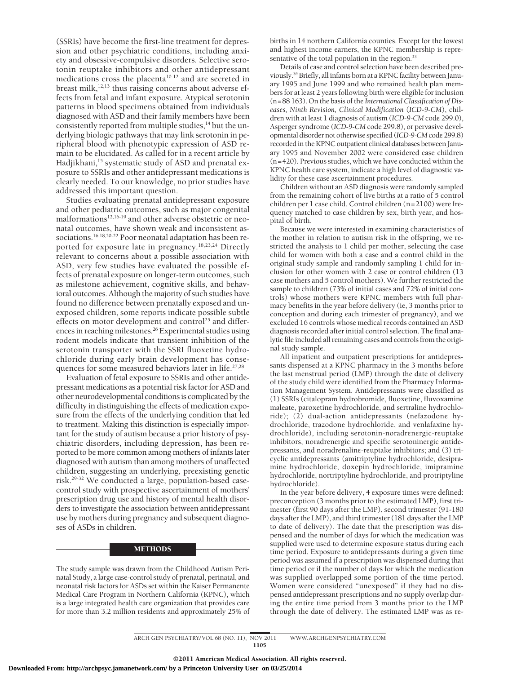(SSRIs) have become the first-line treatment for depression and other psychiatric conditions, including anxiety and obsessive-compulsive disorders. Selective serotonin reuptake inhibitors and other antidepressant medications cross the placenta<sup>10-12</sup> and are secreted in breast milk, $12,13$  thus raising concerns about adverse effects from fetal and infant exposure. Atypical serotonin patterns in blood specimens obtained from individuals diagnosed with ASD and their family members have been consistently reported from multiple studies,<sup>14</sup> but the underlying biologic pathways that may link serotonin in peripheral blood with phenotypic expression of ASD remain to be elucidated. As called for in a recent article by Hadjikhani,<sup>15</sup> systematic study of ASD and prenatal exposure to SSRIs and other antidepressant medications is clearly needed. To our knowledge, no prior studies have addressed this important question.

Studies evaluating prenatal antidepressant exposure and other pediatric outcomes, such as major congenital malformations<sup>12,16-19</sup> and other adverse obstetric or neonatal outcomes, have shown weak and inconsistent associations.<sup>16,18,20-22</sup> Poor neonatal adaptation has been reported for exposure late in pregnancy.18,23,24 Directly relevant to concerns about a possible association with ASD, very few studies have evaluated the possible effects of prenatal exposure on longer-term outcomes, such as milestone achievement, cognitive skills, and behavioral outcomes. Although the majority of such studies have found no difference between prenatally exposed and unexposed children, some reports indicate possible subtle effects on motor development and control<sup>25</sup> and differences in reaching milestones.<sup>26</sup> Experimental studies using rodent models indicate that transient inhibition of the serotonin transporter with the SSRI fluoxetine hydrochloride during early brain development has consequences for some measured behaviors later in life.<sup>27,28</sup>

Evaluation of fetal exposure to SSRIs and other antidepressant medications as a potential risk factor for ASD and other neurodevelopmental conditions is complicated by the difficulty in distinguishing the effects of medication exposure from the effects of the underlying condition that led to treatment. Making this distinction is especially important for the study of autism because a prior history of psychiatric disorders, including depression, has been reported to be more common among mothers of infants later diagnosed with autism than among mothers of unaffected children, suggesting an underlying, preexisting genetic risk.29-32 We conducted a large, population-based casecontrol study with prospective ascertainment of mothers' prescription drug use and history of mental health disorders to investigate the association between antidepressant use by mothers during pregnancy and subsequent diagnoses of ASDs in children.

### METHODS

The study sample was drawn from the Childhood Autism Perinatal Study, a large case-control study of prenatal, perinatal, and neonatal risk factors for ASDs set within the Kaiser Permanente Medical Care Program in Northern California (KPNC), which is a large integrated health care organization that provides care for more than 3.2 million residents and approximately 25% of births in 14 northern California counties. Except for the lowest and highest income earners, the KPNC membership is representative of the total population in the region.<sup>33</sup>

Details of case and control selection have been described previously.34 Briefly, all infants born at a KPNC facility between January 1995 and June 1999 and who remained health plan members for at least 2 years following birth were eligible for inclusion (n=88 163). On the basis of the *International Classification of Diseases, Ninth Revision, Clinical Modification* (*ICD-9-CM*), children with at least 1 diagnosis of autism (*ICD-9-CM* code 299.0), Asperger syndrome (*ICD-9-CM* code 299.8), or pervasive developmental disorder not otherwise specified (*ICD-9-CM* code 299.8) recorded in the KPNC outpatient clinical databases between January 1995 and November 2002 were considered case children (n=420). Previous studies, which we have conducted within the KPNC health care system, indicate a high level of diagnostic validity for these case ascertainment procedures.

Children without an ASD diagnosis were randomly sampled from the remaining cohort of live births at a ratio of 5 control children per 1 case child. Control children (n=2100) were frequency matched to case children by sex, birth year, and hospital of birth.

Because we were interested in examining characteristics of the mother in relation to autism risk in the offspring, we restricted the analysis to 1 child per mother, selecting the case child for women with both a case and a control child in the original study sample and randomly sampling 1 child for inclusion for other women with 2 case or control children (13 case mothers and 5 control mothers). We further restricted the sample to children (73% of initial cases and 72% of initial controls) whose mothers were KPNC members with full pharmacy benefits in the year before delivery (ie, 3 months prior to conception and during each trimester of pregnancy), and we excluded 16 controls whose medical records contained an ASD diagnosis recorded after initial control selection. The final analytic file included all remaining cases and controls from the original study sample.

All inpatient and outpatient prescriptions for antidepressants dispensed at a KPNC pharmacy in the 3 months before the last menstrual period (LMP) through the date of delivery of the study child were identified from the Pharmacy Information Management System. Antidepressants were classified as (1) SSRIs (citalopram hydrobromide, fluoxetine, fluvoxamine maleate, paroxetine hydrochloride, and sertraline hydrochloride); (2) dual-action antidepressants (nefazodone hydrochloride, trazodone hydrochloride, and venlafaxine hydrochloride), including serotonin-noradrenergic-reuptake inhibitors, noradrenergic and specific serotoninergic antidepressants, and noradrenaline-reuptake inhibitors; and (3) tricyclic antidepressants (amitriptyline hydrochloride, desipramine hydrochloride, doxepin hydrochloride, imipramine hydrochloride, nortriptyline hydrochloride, and protriptyline hydrochloride).

In the year before delivery, 4 exposure times were defined: preconception (3 months prior to the estimated LMP), first trimester (first 90 days after the LMP), second trimester (91-180 days after the LMP), and third trimester (181 days after the LMP to date of delivery). The date that the prescription was dispensed and the number of days for which the medication was supplied were used to determine exposure status during each time period. Exposure to antidepressants during a given time period was assumed if a prescription was dispensed during that time period or if the number of days for which the medication was supplied overlapped some portion of the time period. Women were considered "unexposed" if they had no dispensed antidepressant prescriptions and no supply overlap during the entire time period from 3 months prior to the LMP through the date of delivery. The estimated LMP was as re-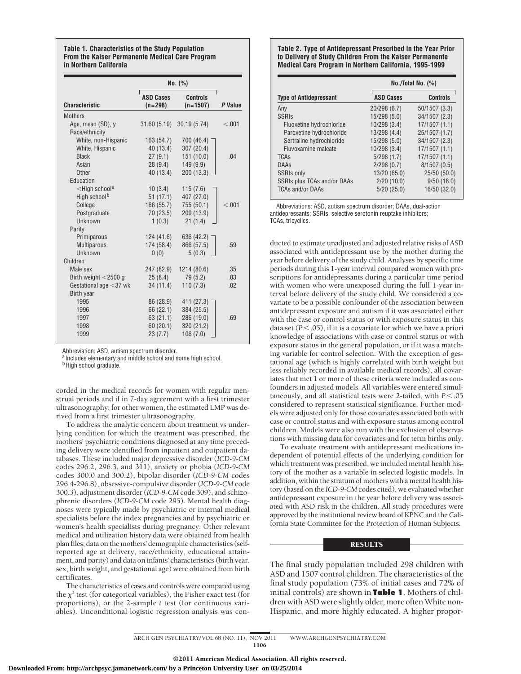#### **Table 1. Characteristics of the Study Population From the Kaiser Permanente Medical Care Program in Northern California**

|                                 | No. (%)                       |                               |         |
|---------------------------------|-------------------------------|-------------------------------|---------|
| <b>Characteristic</b>           | <b>ASD Cases</b><br>$(n=298)$ | <b>Controls</b><br>$(n=1507)$ | P Value |
| <b>Mothers</b>                  |                               |                               |         |
| Age, mean (SD), y               |                               | 31.60 (5.19) 30.19 (5.74)     | < 0.001 |
| Race/ethnicity                  |                               |                               |         |
| White, non-Hispanic             | 163 (54.7)                    | 700 (46.4)                    |         |
| White, Hispanic                 | 40 (13.4)                     | 307 (20.4)                    |         |
| <b>Black</b>                    | 27(9.1)                       | 151(10.0)                     | .04     |
| Asian                           | 28(9.4)                       | 149 (9.9)                     |         |
| Other                           | 40 (13.4)                     | 200 (13.3)                    |         |
| Education                       |                               |                               |         |
| $\leq$ High school <sup>a</sup> | 10(3.4)                       | 115(7.6)                      |         |
| High school <sup>b</sup>        | 51(17.1)                      | 407 (27.0)                    |         |
| College                         | 166(55.7)                     | 755 (50.1)                    | < 0.01  |
| Postgraduate                    | 70 (23.5)                     | 209 (13.9)                    |         |
| Unknown                         | 1(0.3)                        | 21(1.4)                       |         |
| Parity                          |                               |                               |         |
| Primiparous                     | 124 (41.6)                    | 636 (42.2)                    |         |
| Multiparous                     | 174 (58.4)                    | 866 (57.5)                    | .59     |
| Unknown                         | 0(0)                          | 5(0.3)                        |         |
| Children                        |                               |                               |         |
| Male sex                        | 247 (82.9)                    | 1214 (80.6)                   | .35     |
| Birth weight $<$ 2500 g         | 25(8.4)                       | 79 (5.2)                      | .03     |
| Gestational age $<$ 37 wk       | 34(11.4)                      | 110(7.3)                      | .02     |
| <b>Birth year</b>               |                               |                               |         |
| 1995                            | 86 (28.9)                     | 411 (27.3)                    |         |
| 1996                            | 66 (22.1)                     | 384 (25.5)                    |         |
| 1997                            | 63 (21.1)                     | 286 (19.0)                    | .69     |
| 1998                            | 60(20.1)                      | 320 (21.2)                    |         |
| 1999                            | 23(7.7)                       | 106(7.0)                      |         |

Abbreviation: ASD, autism spectrum disorder.

a Includes elementary and middle school and some high school.

bHigh school graduate.

corded in the medical records for women with regular menstrual periods and if in 7-day agreement with a first trimester ultrasonography; for other women, the estimated LMP was derived from a first trimester ultrasonography.

To address the analytic concern about treatment vs underlying condition for which the treatment was prescribed, the mothers' psychiatric conditions diagnosed at any time preceding delivery were identified from inpatient and outpatient databases. These included major depressive disorder (*ICD-9-CM* codes 296.2, 296.3, and 311), anxiety or phobia (*ICD-9-CM* codes 300.0 and 300.2), bipolar disorder (*ICD-9-CM* codes 296.4-296.8), obsessive-compulsive disorder (*ICD-9-CM* code 300.3), adjustment disorder (*ICD-9-CM* code 309), and schizophrenic disorders (*ICD-9-CM* code 295). Mental health diagnoses were typically made by psychiatric or internal medical specialists before the index pregnancies and by psychiatric or women's health specialists during pregnancy. Other relevant medical and utilization history data were obtained from health plan files; data on the mothers' demographic characteristics (selfreported age at delivery, race/ethnicity, educational attainment, and parity) and data on infants' characteristics (birth year, sex, birth weight, and gestational age) were obtained from birth certificates.

The characteristics of cases and controls were compared using the  $\chi^2$  test (for categorical variables), the Fisher exact test (for proportions), or the 2-sample *t* test (for continuous variables). Unconditional logistic regression analysis was con-

# **Table 2. Type of Antidepressant Prescribed in the Year Prior to Delivery of Study Children From the Kaiser Permanente Medical Care Program in Northern California, 1995-1999**

|                               | No. /Total No. (%) |                 |  |
|-------------------------------|--------------------|-----------------|--|
| <b>Type of Antidepressant</b> | <b>ASD Cases</b>   | <b>Controls</b> |  |
| Any                           | 20/298 (6.7)       | 50/1507 (3.3)   |  |
| <b>SSRIS</b>                  | 15/298(5.0)        | 34/1507 (2.3)   |  |
| Fluoxetine hydrochloride      | 10/298(3.4)        | 17/1507(1.1)    |  |
| Paroxetine hydrochloride      | 13/298 (4.4)       | 25/1507 (1.7)   |  |
| Sertraline hydrochloride      | 15/298(5.0)        | 34/1507 (2.3)   |  |
| Fluvoxamine maleate           | 10/298(3.4)        | 17/1507(1.1)    |  |
| <b>TCAs</b>                   | 5/298(1.7)         | 17/1507(1.1)    |  |
| <b>DAAs</b>                   | 2/298(0.7)         | 8/1507(0.5)     |  |
| <b>SSRIs only</b>             | 13/20 (65.0)       | 25/50 (50.0)    |  |
| SSRIs plus TCAs and/or DAAs   | 2/20(10.0)         | 9/50(18.0)      |  |
| <b>TCAs and/or DAAs</b>       | 5/20(25.0)         | 16/50 (32.0)    |  |

Abbreviations: ASD, autism spectrum disorder; DAAs, dual-action antidepressants; SSRIs, selective serotonin reuptake inhibitors; TCAs, tricyclics.

ducted to estimate unadjusted and adjusted relative risks of ASD associated with antidepressant use by the mother during the year before delivery of the study child. Analyses by specific time periods during this 1-year interval compared women with prescriptions for antidepressants during a particular time period with women who were unexposed during the full 1-year interval before delivery of the study child. We considered a covariate to be a possible confounder of the association between antidepressant exposure and autism if it was associated either with the case or control status or with exposure status in this data set  $(P < .05)$ , if it is a covariate for which we have a priori knowledge of associations with case or control status or with exposure status in the general population, or if it was a matching variable for control selection. With the exception of gestational age (which is highly correlated with birth weight but less reliably recorded in available medical records), all covariates that met 1 or more of these criteria were included as confounders in adjusted models. All variables were entered simultaneously, and all statistical tests were 2-tailed, with  $P$ <.05 considered to represent statistical significance. Further models were adjusted only for those covariates associated both with case or control status and with exposure status among control children. Models were also run with the exclusion of observations with missing data for covariates and for term births only.

To evaluate treatment with antidepressant medications independent of potential effects of the underlying condition for which treatment was prescribed, we included mental health history of the mother as a variable in selected logistic models. In addition, within the stratum of mothers with a mental health history (based on the *ICD-9-CM* codes cited), we evaluated whether antidepressant exposure in the year before delivery was associated with ASD risk in the children. All study procedures were approved by the institutional review board of KPNC and the California State Committee for the Protection of Human Subjects.

# **RESULTS**

The final study population included 298 children with ASD and 1507 control children. The characteristics of the final study population (73% of initial cases and 72% of initial controls) are shown in **Table 1**. Mothers of children with ASD were slightly older, more often White non-Hispanic, and more highly educated. A higher propor-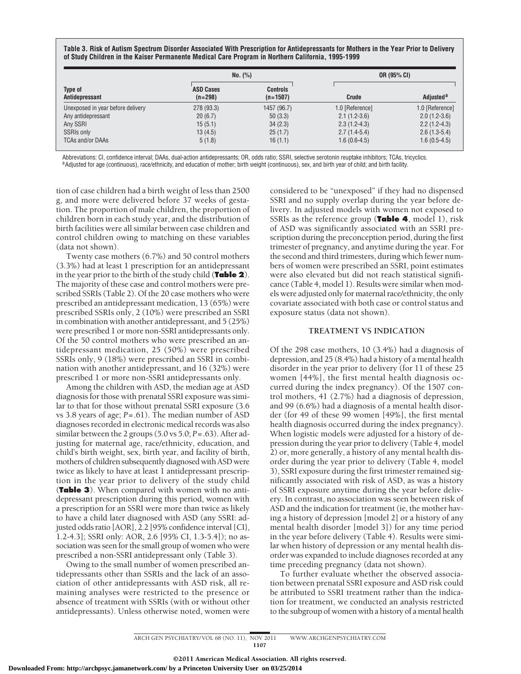**Table 3. Risk of Autism Spectrum Disorder Associated With Prescription for Antidepressants for Mothers in the Year Prior to Delivery of Study Children in the Kaiser Permanente Medical Care Program in Northern California, 1995-1999**

| Type of<br>Antidepressant         | No. (%)                       |                               |                 | OR (95% CI)           |  |
|-----------------------------------|-------------------------------|-------------------------------|-----------------|-----------------------|--|
|                                   | <b>ASD Cases</b><br>$(n=298)$ | <b>Controls</b><br>$(n=1507)$ | Crude           | Adjusted <sup>a</sup> |  |
| Unexposed in year before delivery | 278 (93.3)                    | 1457 (96.7)                   | 1.0 [Reference] | 1.0 [Reference]       |  |
| Any antidepressant                | 20(6.7)                       | 50(3.3)                       | $2.1(1.2-3.6)$  | $2.0(1.2-3.6)$        |  |
| Any SSRI                          | 15(5.1)                       | 34(2.3)                       | $2.3(1.2-4.3)$  | $2.2(1.2-4.3)$        |  |
| <b>SSRIs only</b>                 | 13(4.5)                       | 25(1.7)                       | $2.7(1.4-5.4)$  | $2.6(1.3-5.4)$        |  |
| <b>TCAs and/or DAAs</b>           | 5(1.8)                        | 16(1.1)                       | $1.6(0.6-4.5)$  | $1.6(0.5-4.5)$        |  |

Abbreviations: CI, confidence interval; DAAs, dual-action antidepressants; OR, odds ratio; SSRI, selective serotonin reuptake inhibitors; TCAs, tricyclics.<br><sup>a</sup>Adjusted for age (continuous), race/ethnicity, and education of

tion of case children had a birth weight of less than 2500 g, and more were delivered before 37 weeks of gestation. The proportion of male children, the proportion of children born in each study year, and the distribution of birth facilities were all similar between case children and control children owing to matching on these variables (data not shown).

Twenty case mothers (6.7%) and 50 control mothers (3.3%) had at least 1 prescription for an antidepressant in the year prior to the birth of the study child (**Table 2**). The majority of these case and control mothers were prescribed SSRIs (Table 2). Of the 20 case mothers who were prescribed an antidepressant medication, 13 (65%) were prescribed SSRIs only, 2 (10%) were prescribed an SSRI in combination with another antidepressant, and 5 (25%) were prescribed 1 or more non-SSRI antidepressants only. Of the 50 control mothers who were prescribed an antidepressant medication, 25 (50%) were prescribed SSRIs only, 9 (18%) were prescribed an SSRI in combination with another antidepressant, and 16 (32%) were prescribed 1 or more non-SSRI antidepressants only.

Among the children with ASD, the median age at ASD diagnosis for those with prenatal SSRI exposure was similar to that for those without prenatal SSRI exposure (3.6 vs 3.8 years of age; *P*=.61). The median number of ASD diagnoses recorded in electronic medical records was also similar between the 2 groups (5.0 vs 5.0; *P*=.63). After adjusting for maternal age, race/ethnicity, education, and child's birth weight, sex, birth year, and facility of birth, mothers of children subsequently diagnosed with ASD were twice as likely to have at least 1 antidepressant prescription in the year prior to delivery of the study child (**Table 3**). When compared with women with no antidepressant prescription during this period, women with a prescription for an SSRI were more than twice as likely to have a child later diagnosed with ASD (any SSRI: adjusted odds ratio [AOR], 2.2 [95% confidence interval {CI}, 1.2-4.3]; SSRI only: AOR, 2.6 [95% CI, 1.3-5.4]); no association was seen for the small group of women who were prescribed a non-SSRI antidepressant only (Table 3).

Owing to the small number of women prescribed antidepressants other than SSRIs and the lack of an association of other antidepressants with ASD risk, all remaining analyses were restricted to the presence or absence of treatment with SSRIs (with or without other antidepressants). Unless otherwise noted, women were

considered to be "unexposed" if they had no dispensed SSRI and no supply overlap during the year before delivery. In adjusted models with women not exposed to SSRIs as the reference group (**Table 4**, model 1), risk of ASD was significantly associated with an SSRI prescription during the preconception period, during the first trimester of pregnancy, and anytime during the year. For the second and third trimesters, during which fewer numbers of women were prescribed an SSRI, point estimates were also elevated but did not reach statistical significance (Table 4, model 1). Results were similar when models were adjusted only for maternal race/ethnicity, the only covariate associated with both case or control status and exposure status (data not shown).

# **TREATMENT VS INDICATION**

Of the 298 case mothers, 10 (3.4%) had a diagnosis of depression, and 25 (8.4%) had a history of a mental health disorder in the year prior to delivery (for 11 of these 25 women [44%], the first mental health diagnosis occurred during the index pregnancy). Of the 1507 control mothers, 41 (2.7%) had a diagnosis of depression, and 99 (6.6%) had a diagnosis of a mental health disorder (for 49 of these 99 women [49%], the first mental health diagnosis occurred during the index pregnancy). When logistic models were adjusted for a history of depression during the year prior to delivery (Table 4, model 2) or, more generally, a history of any mental health disorder during the year prior to delivery (Table 4, model 3), SSRI exposure during the first trimester remained significantly associated with risk of ASD, as was a history of SSRI exposure anytime during the year before delivery. In contrast, no association was seen between risk of ASD and the indication for treatment (ie, the mother having a history of depression [model 2] or a history of any mental health disorder [model 3]) for any time period in the year before delivery (Table 4). Results were similar when history of depression or any mental health disorder was expanded to include diagnoses recorded at any time preceding pregnancy (data not shown).

To further evaluate whether the observed association between prenatal SSRI exposure and ASD risk could be attributed to SSRI treatment rather than the indication for treatment, we conducted an analysis restricted to the subgroup of women with a history of a mental health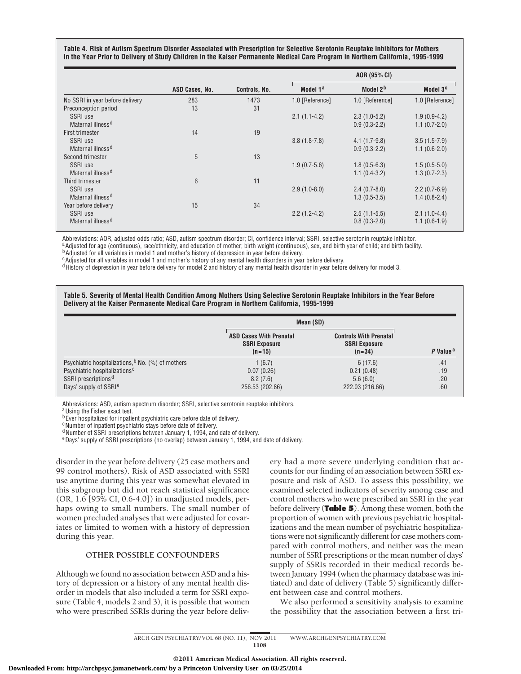**Table 4. Risk of Autism Spectrum Disorder Associated with Prescription for Selective Serotonin Reuptake Inhibitors for Mothers in the Year Prior to Delivery of Study Children in the Kaiser Permanente Medical Care Program in Northern California, 1995-1999**

|                                 | ASD Cases, No. | Controls, No. | AOR (95% CI)         |                      |                      |
|---------------------------------|----------------|---------------|----------------------|----------------------|----------------------|
|                                 |                |               | Model 1 <sup>a</sup> | Model 2 <sup>b</sup> | Model 3 <sup>c</sup> |
| No SSRI in year before delivery | 283            | 1473          | 1.0 [Reference]      | 1.0 [Reference]      | 1.0 [Reference]      |
| Preconception period            | 13             | 31            |                      |                      |                      |
| SSRI use                        |                |               | $2.1(1.1-4.2)$       | $2.3(1.0-5.2)$       | $1.9(0.9-4.2)$       |
| Maternal illness <sup>d</sup>   |                |               |                      | $0.9(0.3-2.2)$       | $1.1(0.7-2.0)$       |
| <b>First trimester</b>          | 14             | 19            |                      |                      |                      |
| SSRI use                        |                |               | $3.8(1.8-7.8)$       | $4.1(1.7-9.8)$       | $3.5(1.5-7.9)$       |
| Maternal illness <sup>d</sup>   |                |               |                      | $0.9(0.3-2.2)$       | $1.1(0.6-2.0)$       |
| Second trimester                | 5              | 13            |                      |                      |                      |
| SSRI use                        |                |               | $1.9(0.7-5.6)$       | $1.8(0.5-6.3)$       | $1.5(0.5-5.0)$       |
| Maternal illness <sup>d</sup>   |                |               |                      | $1.1(0.4-3.2)$       | $1.3(0.7-2.3)$       |
| Third trimester                 | 6              | 11            |                      |                      |                      |
| SSRI use                        |                |               | $2.9(1.0-8.0)$       | $2.4(0.7-8.0)$       | $2.2(0.7-6.9)$       |
| Maternal illness <sup>d</sup>   |                |               |                      | $1.3(0.5-3.5)$       | $1.4(0.8-2.4)$       |
| Year before delivery            | 15             | 34            |                      |                      |                      |
| SSRI use                        |                |               | $2.2(1.2-4.2)$       | $2.5(1.1-5.5)$       | $2.1(1.0-4.4)$       |
| Maternal illness <sup>d</sup>   |                |               |                      | $0.8(0.3-2.0)$       | $1.1(0.6-1.9)$       |

Abbreviations: AOR, adjusted odds ratio; ASD, autism spectrum disorder; CI, confidence interval; SSRI, selective serotonin reuptake inhibitor.

 $^a$ Adjusted for age (continuous), race/ethnicity, and education of mother; birth weight (continuous), sex, and birth year of child; and birth facility.<br><sup>b</sup>Adjusted for all variables in model 1 and mother's history of dep

<sup>c</sup>Adjusted for all variables in model 1 and mother's history of any mental health disorders in year before delivery.

<sup>d</sup> History of depression in year before delivery for model 2 and history of any mental health disorder in year before delivery for model 3.

**Table 5. Severity of Mental Health Condition Among Mothers Using Selective Serotonin Reuptake Inhibitors in the Year Before Delivery at the Kaiser Permanente Medical Care Program in Northern California, 1995-1999**

|                                                               | Mean (SD)                                                          |                                                                   |                      |
|---------------------------------------------------------------|--------------------------------------------------------------------|-------------------------------------------------------------------|----------------------|
|                                                               | <b>ASD Cases With Prenatal</b><br><b>SSRI Exposure</b><br>$(n=15)$ | <b>Controls With Prenatal</b><br><b>SSRI Exposure</b><br>$(n=34)$ | P Value <sup>a</sup> |
| Psychiatric hospitalizations, <sup>b</sup> No. (%) of mothers | 1(6.7)                                                             | 6(17.6)                                                           | .41                  |
| Psychiatric hospitalizations <sup>c</sup>                     | 0.07(0.26)                                                         | 0.21(0.48)                                                        | .19                  |
| SSRI prescriptions <sup>d</sup>                               | 8.2(7.6)                                                           | 5.6(6.0)                                                          | .20                  |
| Days' supply of SSRI <sup>e</sup>                             | 256.53 (202.86)                                                    | 222.03 (216.66)                                                   | .60                  |

Abbreviations: ASD, autism spectrum disorder; SSRI, selective serotonin reuptake inhibitors.

a Using the Fisher exact test.

b Ever hospitalized for inpatient psychiatric care before date of delivery.

cNumber of inpatient psychiatric stays before date of delivery.

<sup>d</sup> Number of SSRI prescriptions between January 1, 1994, and date of delivery.

<sup>e</sup>Days' supply of SSRI prescriptions (no overlap) between January 1, 1994, and date of delivery.

disorder in the year before delivery (25 case mothers and 99 control mothers). Risk of ASD associated with SSRI use anytime during this year was somewhat elevated in this subgroup but did not reach statistical significance (OR, 1.6 [95% CI, 0.6-4.0]) in unadjusted models, perhaps owing to small numbers. The small number of women precluded analyses that were adjusted for covariates or limited to women with a history of depression during this year.

# **OTHER POSSIBLE CONFOUNDERS**

Although we found no association between ASD and a history of depression or a history of any mental health disorder in models that also included a term for SSRI exposure (Table 4, models 2 and 3), it is possible that women who were prescribed SSRIs during the year before deliv-

ery had a more severe underlying condition that accounts for our finding of an association between SSRI exposure and risk of ASD. To assess this possibility, we examined selected indicators of severity among case and control mothers who were prescribed an SSRI in the year before delivery (**Table 5**). Among these women, both the proportion of women with previous psychiatric hospitalizations and the mean number of psychiatric hospitalizations were not significantly different for case mothers compared with control mothers, and neither was the mean number of SSRI prescriptions or the mean number of days' supply of SSRIs recorded in their medical records between January 1994 (when the pharmacy database was initiated) and date of delivery (Table 5) significantly different between case and control mothers.

We also performed a sensitivity analysis to examine the possibility that the association between a first tri-

ARCH GEN PSYCHIATRY/ VOL 68 (NO. 11), NOV 2011 WWW.ARCHGENPSYCHIATRY.COM 1108

©2011 American Medical Association. All rights reserved.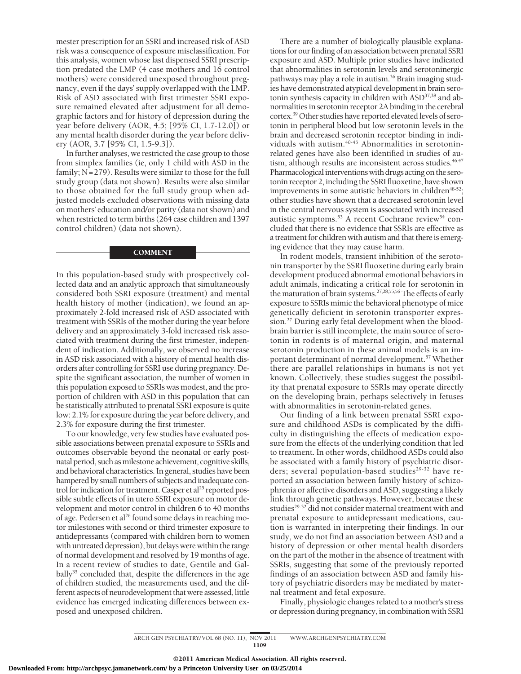mester prescription for an SSRI and increased risk of ASD risk was a consequence of exposure misclassification. For this analysis, women whose last dispensed SSRI prescription predated the LMP (4 case mothers and 16 control mothers) were considered unexposed throughout pregnancy, even if the days' supply overlapped with the LMP. Risk of ASD associated with first trimester SSRI exposure remained elevated after adjustment for all demographic factors and for history of depression during the year before delivery (AOR, 4.5; [95% CI, 1.7-12.0]) or any mental health disorder during the year before delivery (AOR, 3.7 [95% CI, 1.5-9.3]).

In further analyses, we restricted the case group to those from simplex families (ie, only 1 child with ASD in the family;  $N = 279$ ). Results were similar to those for the full study group (data not shown). Results were also similar to those obtained for the full study group when adjusted models excluded observations with missing data on mothers' education and/or parity (data not shown) and when restricted to term births (264 case children and 1397 control children) (data not shown).

# **COMMENT**

In this population-based study with prospectively collected data and an analytic approach that simultaneously considered both SSRI exposure (treatment) and mental health history of mother (indication), we found an approximately 2-fold increased risk of ASD associated with treatment with SSRIs of the mother during the year before delivery and an approximately 3-fold increased risk associated with treatment during the first trimester, independent of indication. Additionally, we observed no increase in ASD risk associated with a history of mental health disorders after controlling for SSRI use during pregnancy. Despite the significant association, the number of women in this population exposed to SSRIs was modest, and the proportion of children with ASD in this population that can be statistically attributed to prenatal SSRI exposure is quite low: 2.1% for exposure during the year before delivery, and 2.3% for exposure during the first trimester.

To our knowledge, very few studies have evaluated possible associations between prenatal exposure to SSRIs and outcomes observable beyond the neonatal or early postnatal period, such asmilestone achievement, cognitive skills, and behavioral characteristics. In general, studies have been hampered by small numbers of subjects and inadequate control for indication for treatment. Casper et al<sup>25</sup> reported possible subtle effects of in utero SSRI exposure on motor development and motor control in children 6 to 40 months of age. Pedersen et al<sup>26</sup> found some delays in reaching motor milestones with second or third trimester exposure to antidepressants (compared with children born to women with untreated depression), but delays were within the range of normal development and resolved by 19 months of age. In a recent review of studies to date, Gentile and Galbally<sup>35</sup> concluded that, despite the differences in the age of children studied, the measurements used, and the different aspects of neurodevelopment that were assessed, little evidence has emerged indicating differences between exposed and unexposed children.

There are a number of biologically plausible explanations for our finding of an association between prenatal SSRI exposure and ASD. Multiple prior studies have indicated that abnormalities in serotonin levels and serotoninergic pathways may play a role in autism.<sup>36</sup> Brain imaging studies have demonstrated atypical development in brain serotonin synthesis capacity in children with ASD<sup>37,38</sup> and abnormalities in serotonin receptor 2A binding in the cerebral cortex.39 Other studies have reported elevated levels of serotonin in peripheral blood but low serotonin levels in the brain and decreased serotonin receptor binding in individuals with autism.<sup>40-45</sup> Abnormalities in serotoninrelated genes have also been identified in studies of autism, although results are inconsistent across studies.<sup>46,47</sup> Pharmacological interventions with drugs acting on the serotonin receptor 2, including the SSRI fluoxetine, have shown improvements in some autistic behaviors in children<sup>48-52</sup>; other studies have shown that a decreased serotonin level in the central nervous system is associated with increased autistic symptoms.<sup>53</sup> A recent Cochrane review<sup>54</sup> concluded that there is no evidence that SSRIs are effective as a treatment for children with autism and that there is emerging evidence that they may cause harm.

In rodent models, transient inhibition of the serotonin transporter by the SSRI fluoxetine during early brain development produced abnormal emotional behaviors in adult animals, indicating a critical role for serotonin in the maturation of brain systems.<sup>27,28,55,56</sup> The effects of early exposure to SSRIs mimic the behavioral phenotype of mice genetically deficient in serotonin transporter expression.27 During early fetal development when the bloodbrain barrier is still incomplete, the main source of serotonin in rodents is of maternal origin, and maternal serotonin production in these animal models is an important determinant of normal development.<sup>57</sup> Whether there are parallel relationships in humans is not yet known. Collectively, these studies suggest the possibility that prenatal exposure to SSRIs may operate directly on the developing brain, perhaps selectively in fetuses with abnormalities in serotonin-related genes.

Our finding of a link between prenatal SSRI exposure and childhood ASDs is complicated by the difficulty in distinguishing the effects of medication exposure from the effects of the underlying condition that led to treatment. In other words, childhood ASDs could also be associated with a family history of psychiatric disorders; several population-based studies $29-32$  have reported an association between family history of schizophrenia or affective disorders and ASD, suggesting a likely link through genetic pathways. However, because these studies<sup>29-32</sup> did not consider maternal treatment with and prenatal exposure to antidepressant medications, caution is warranted in interpreting their findings. In our study, we do not find an association between ASD and a history of depression or other mental health disorders on the part of the mother in the absence of treatment with SSRIs, suggesting that some of the previously reported findings of an association between ASD and family history of psychiatric disorders may be mediated by maternal treatment and fetal exposure.

Finally, physiologic changes related to a mother's stress or depression during pregnancy, in combination with SSRI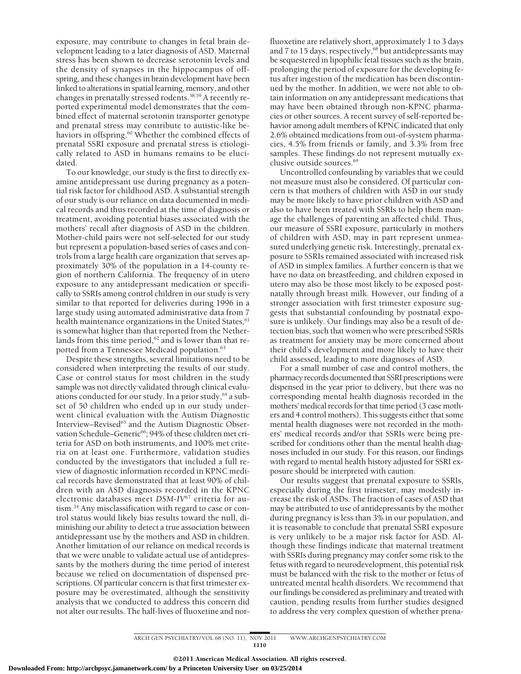exposure, may contribute to changes in fetal brain development leading to a later diagnosis of ASD. Maternal stress has been shown to decrease serotonin levels and the density of synapses in the hippocampus of offspring, and these changes in brain development have been linked to alterations in spatial learning, memory, and other changes in prenatally stressed rodents.58,59 A recently reported experimental model demonstrates that the combined effect of maternal serotonin transporter genotype and prenatal stress may contribute to autistic-like behaviors in offspring.<sup>60</sup> Whether the combined effects of prenatal SSRI exposure and prenatal stress is etiologically related to ASD in humans remains to be elucidated.

To our knowledge, our study is the first to directly examine antidepressant use during pregnancy as a potential risk factor for childhood ASD. A substantial strength of our study is our reliance on data documented in medical records and thus recorded at the time of diagnosis or treatment, avoiding potential biases associated with the mothers' recall after diagnosis of ASD in the children. Mother-child pairs were not self-selected for our study but represent a population-based series of cases and controls from a large health care organization that serves approximately 30% of the population in a 14-county region of northern California. The frequency of in utero exposure to any antidepressant medication or specifically to SSRIs among control children in our study is very similar to that reported for deliveries during 1996 in a large study using automated administrative data from 7 health maintenance organizations in the United States, 61 is somewhat higher than that reported from the Netherlands from this time period,<sup>62</sup> and is lower than that reported from a Tennessee Medicaid population.<sup>63</sup>

Despite these strengths, several limitations need to be considered when interpreting the results of our study. Case or control status for most children in the study sample was not directly validated through clinical evaluations conducted for our study. In a prior study,  $64$  a subset of 50 children who ended up in our study underwent clinical evaluation with the Autism Diagnostic Interview–Revised<sup>65</sup> and the Autism Diagnostic Observation Schedule–Generic<sup>66</sup>; 94% of these children met criteria for ASD on both instruments, and 100% met criteria on at least one. Furthermore, validation studies conducted by the investigators that included a full review of diagnostic information recorded in KPNC medical records have demonstrated that at least 90% of children with an ASD diagnosis recorded in the KPNC electronic databases meet *DSM-IV*<sup>67</sup> criteria for autism.34 Any misclassification with regard to case or control status would likely bias results toward the null, diminishing our ability to detect a true association between antidepressant use by the mothers and ASD in children. Another limitation of our reliance on medical records is that we were unable to validate actual use of antidepressants by the mothers during the time period of interest because we relied on documentation of dispensed prescriptions. Of particular concern is that first trimester exposure may be overestimated, although the sensitivity analysis that we conducted to address this concern did not alter our results. The half-lives of fluoxetine and nor-

fluoxetine are relatively short, approximately 1 to 3 days and 7 to 15 days, respectively,<sup>68</sup> but antidepressants may be sequestered in lipophilic fetal tissues such as the brain, prolonging the period of exposure for the developing fetus after ingestion of the medication has been discontinued by the mother. In addition, we were not able to obtain information on any antidepressant medications that may have been obtained through non-KPNC pharmacies or other sources. A recent survey of self-reported behavior among adult members of KPNC indicated that only 2.6% obtained medications from out-of-system pharmacies, 4.5% from friends or family, and 3.3% from free samples. These findings do not represent mutually exclusive outside sources.<sup>69</sup>

Uncontrolled confounding by variables that we could not measure must also be considered. Of particular concern is that mothers of children with ASD in our study may be more likely to have prior children with ASD and also to have been treated with SSRIs to help them manage the challenges of parenting an affected child. Thus, our measure of SSRI exposure, particularly in mothers of children with ASD, may in part represent unmeasured underlying genetic risk. Interestingly, prenatal exposure to SSRIs remained associated with increased risk of ASD in simplex families. A further concern is that we have no data on breastfeeding, and children exposed in utero may also be those most likely to be exposed postnatally through breast milk. However, our finding of a stronger association with first trimester exposure suggests that substantial confounding by postnatal exposure is unlikely. Our findings may also be a result of detection bias, such that women who were prescribed SSRIs as treatment for anxiety may be more concerned about their child's development and more likely to have their child assessed, leading to more diagnoses of ASD.

For a small number of case and control mothers, the pharmacy records documented that SSRI prescriptions were dispensed in the year prior to delivery, but there was no corresponding mental health diagnosis recorded in the mothers' medical records for that time period (3 case mothers and 4 control mothers). This suggests either that some mental health diagnoses were not recorded in the mothers' medical records and/or that SSRIs were being prescribed for conditions other than the mental health diagnoses included in our study. For this reason, our findings with regard to mental health history adjusted for SSRI exposure should be interpreted with caution.

Our results suggest that prenatal exposure to SSRIs, especially during the first trimester, may modestly increase the risk of ASDs. The fraction of cases of ASD that may be attributed to use of antidepressants by the mother during pregnancy is less than 3% in our population, and it is reasonable to conclude that prenatal SSRI exposure is very unlikely to be a major risk factor for ASD. Although these findings indicate that maternal treatment with SSRIs during pregnancy may confer some risk to the fetus with regard to neurodevelopment, this potential risk must be balanced with the risk to the mother or fetus of untreated mental health disorders. We recommend that our findings be considered as preliminary and treated with caution, pending results from further studies designed to address the very complex question of whether prena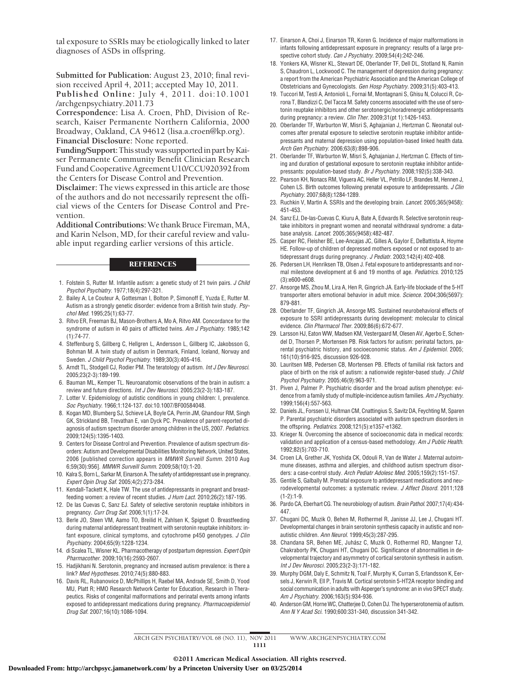tal exposure to SSRIs may be etiologically linked to later diagnoses of ASDs in offspring.

**Submitted for Publication:** August 23, 2010; final revision received April 4, 2011; accepted May 10, 2011.

**Published Online:** July 4, 2011. doi:10.1001 /archgenpsychiatry.2011.73

**Correspondence:** Lisa A. Croen, PhD, Division of Research, Kaiser Permanente Northern California, 2000 Broadway, Oakland, CA 94612 (lisa.a.croen@kp.org). **Financial Disclosure:** None reported.

**Funding/Support:**This studywas supportedin part byKaiser Permanente Community Benefit Clinician Research Fund and Cooperative Agreement U10/CCU920392 from the Centers for Disease Control and Prevention.

**Disclaimer:** The views expressed in this article are those of the authors and do not necessarily represent the official views of the Centers for Disease Control and Prevention.

**Additional Contributions:** We thank Bruce Fireman, MA, and Karin Nelson, MD, for their careful review and valuable input regarding earlier versions of this article.

#### REFERENCES

- 1. Folstein S, Rutter M. Infantile autism: a genetic study of 21 twin pairs. *J Child Psychol Psychiatry*. 1977;18(4):297-321.
- 2. Bailey A, Le Couteur A, Gottesman I, Bolton P, Simonoff E, Yuzda E, Rutter M. Autism as a strongly genetic disorder: evidence from a British twin study. *Psychol Med*. 1995;25(1):63-77.
- 3. Ritvo ER, Freeman BJ, Mason-Brothers A, Mo A, Ritvo AM. Concordance for the syndrome of autism in 40 pairs of afflicted twins. *Am J Psychiatry*. 1985;142 (1):74-77.
- 4. Steffenburg S, Gillberg C, Hellgren L, Andersson L, Gillberg IC, Jakobsson G, Bohman M. A twin study of autism in Denmark, Finland, Iceland, Norway and Sweden. *J Child Psychol Psychiatry*. 1989;30(3):405-416.
- 5. Arndt TL, Stodgell CJ, Rodier PM. The teratology of autism. *Int J Dev Neurosci*. 2005;23(2-3):189-199.
- 6. Bauman ML, Kemper TL. Neuroanatomic observations of the brain in autism: a review and future directions. *Int J Dev Neurosci*. 2005;23(2-3):183-187.
- 7. Lotter V. Epidemiology of autistic conditions in young children: I, prevalence. *Soc Psychiatry*. 1966;1:124-137. doi:10.1007/BF00584048.
- 8. Kogan MD, Blumberg SJ, Schieve LA, Boyle CA, Perrin JM, Ghandour RM, Singh GK, Strickland BB, Trevathan E, van Dyck PC. Prevalence of parent-reported diagnosis of autism spectrum disorder among children in the US, 2007. *Pediatrics*. 2009;124(5):1395-1403.
- 9. Centers for Disease Control and Prevention. Prevalence of autism spectrum disorders: Autism and Developmental Disabilities Monitoring Network, United States, 2006 [published correction appears in *MMWR Surveill Summ*. 2010 Aug 6;59(30):956]. *MMWR Surveill Summ*. 2009;58(10):1-20.
- 10. Kalra S, Born L, Sarkar M, Einarson A. The safety of antidepressant use in pregnancy. *Expert Opin Drug Saf*. 2005;4(2):273-284.
- 11. Kendall-Tackett K, Hale TW. The use of antidepressants in pregnant and breastfeeding women: a review of recent studies. *J Hum Lact*. 2010;26(2):187-195.
- 12. De las Cuevas C, Sanz EJ. Safety of selective serotonin reuptake inhibitors in pregnancy. *Curr Drug Saf*. 2006;1(1):17-24.
- 13. Berle JO, Steen VM, Aamo TO, Breilid H, Zahlsen K, Spigset O. Breastfeeding during maternal antidepressant treatment with serotonin reuptake inhibitors: infant exposure, clinical symptoms, and cytochrome p450 genotypes. *J Clin Psychiatry*. 2004;65(9):1228-1234.
- 14. di Scalea TL, Wisner KL. Pharmacotherapy of postpartum depression. *Expert Opin Pharmacother*. 2009;10(16):2593-2607.
- 15. Hadjikhani N. Serotonin, pregnancy and increased autism prevalence: is there a link? *Med Hypotheses*. 2010;74(5):880-883.
- 16. Davis RL, Rubanowice D, McPhillips H, Raebel MA, Andrade SE, Smith D, Yood MU, Platt R; HMO Research Network Center for Education, Research in Therapeutics. Risks of congenital malformations and perinatal events among infants exposed to antidepressant medications during pregnancy. *Pharmacoepidemiol Drug Saf*. 2007;16(10):1086-1094.
- 17. Einarson A, Choi J, Einarson TR, Koren G. Incidence of major malformations in infants following antidepressant exposure in pregnancy: results of a large prospective cohort study. *Can J Psychiatry*. 2009;54(4):242-246.
- 18. Yonkers KA, Wisner KL, Stewart DE, Oberlander TF, Dell DL, Stotland N, Ramin S, Chaudron L, Lockwood C. The management of depression during pregnancy: a report from the American Psychiatric Association and the American College of Obstetricians and Gynecologists. *Gen Hosp Psychiatry*. 2009;31(5):403-413.
- 19. Tuccori M, Testi A, Antonioli L, Fornai M, Montagnani S, Ghisu N, Colucci R, Corona T, Blandizzi C, Del Tacca M. Safety concerns associated with the use of serotonin reuptake inhibitors and other serotonergic/noradrenergic antidepressants during pregnancy: a review. *Clin Ther*. 2009;31(pt 1):1426-1453.
- 20. Oberlander TF, Warburton W, Misri S, Aghajanian J, Hertzman C. Neonatal outcomes after prenatal exposure to selective serotonin reuptake inhibitor antidepressants and maternal depression using population-based linked health data. *Arch Gen Psychiatry*. 2006;63(8):898-906.
- 21. Oberlander TF, Warburton W, Misri S, Aghajanian J, Hertzman C. Effects of timing and duration of gestational exposure to serotonin reuptake inhibitor antidepressants: population-based study. *Br J Psychiatry*. 2008;192(5):338-343.
- 22. Pearson KH, Nonacs RM, Viguera AC, Heller VL, Petrillo LF, Brandes M, Hennen J, Cohen LS. Birth outcomes following prenatal exposure to antidepressants. *J Clin Psychiatry*. 2007;68(8):1284-1289.
- 23. Ruchkin V, Martin A. SSRIs and the developing brain. *Lancet*. 2005;365(9458): 451-453.
- 24. Sanz EJ, De-las-Cuevas C, Kiuru A, Bate A, Edwards R. Selective serotonin reuptake inhibitors in pregnant women and neonatal withdrawal syndrome: a database analysis. *Lancet*. 2005;365(9458):482-487.
- 25. Casper RC, Fleisher BE, Lee-Ancajas JC, Gilles A, Gaylor E, DeBattista A, Hoyme HE. Follow-up of children of depressed mothers exposed or not exposed to antidepressant drugs during pregnancy. *J Pediatr*. 2003;142(4):402-408.
- 26. Pedersen LH, Henriksen TB, Olsen J. Fetal exposure to antidepressants and normal milestone development at 6 and 19 months of age. *Pediatrics*. 2010;125 (3):e600-e608.
- 27. Ansorge MS, Zhou M, Lira A, Hen R, Gingrich JA. Early-life blockade of the 5-HT transporter alters emotional behavior in adult mice. *Science*. 2004;306(5697): 879-881.
- 28. Oberlander TF, Gingrich JA, Ansorge MS. Sustained neurobehavioral effects of exposure to SSRI antidepressants during development: molecular to clinical evidence. *Clin Pharmacol Ther*. 2009;86(6):672-677.
- 29. Larsson HJ, Eaton WW, Madsen KM, Vestergaard M, Olesen AV, Agerbo E, Schendel D, Thorsen P, Mortensen PB. Risk factors for autism: perinatal factors, parental psychiatric history, and socioeconomic status. *Am J Epidemiol*. 2005; 161(10):916-925, discussion 926-928.
- 30. Lauritsen MB, Pedersen CB, Mortensen PB. Effects of familial risk factors and place of birth on the risk of autism: a nationwide register-based study. *J Child Psychol Psychiatry*. 2005;46(9):963-971.
- 31. Piven J, Palmer P. Psychiatric disorder and the broad autism phenotype: evidence from a family study of multiple-incidence autism families. *Am J Psychiatry*. 1999;156(4):557-563.
- 32. Daniels JL, Forssen U, Hultman CM, Cnattingius S, Savitz DA, Feychting M, Sparen P. Parental psychiatric disorders associated with autism spectrum disorders in the offspring. *Pediatrics*. 2008;121(5):e1357-e1362.
- 33. Krieger N. Overcoming the absence of socioeconomic data in medical records: validation and application of a census-based methodology. *Am J Public Health*. 1992;82(5):703-710.
- 34. Croen LA, Grether JK, Yoshida CK, Odouli R, Van de Water J. Maternal autoimmune diseases, asthma and allergies, and childhood autism spectrum disorders: a case-control study. *Arch Pediatr Adolesc Med*. 2005;159(2):151-157.
- 35. Gentile S, Galbally M. Prenatal exposure to antidepressant medications and neurodevelopmental outcomes: a systematic review. *J Affect Disord*. 2011;128  $(1-2):1-9.$
- 36. Pardo CA, Eberhart CG. The neurobiology of autism. *Brain Pathol*. 2007;17(4):434- 447.
- 37. Chugani DC, Muzik O, Behen M, Rothermel R, Janisse JJ, Lee J, Chugani HT. Developmental changes in brain serotonin synthesis capacity in autistic and nonautistic children. *Ann Neurol*. 1999;45(3):287-295.
- 38. Chandana SR, Behen ME, Juhász C, Muzik O, Rothermel RD, Mangner TJ, Chakraborty PK, Chugani HT, Chugani DC. Significance of abnormalities in developmental trajectory and asymmetry of cortical serotonin synthesis in autism. *Int J Dev Neurosci*. 2005;23(2-3):171-182.
- 39. Murphy DGM, Daly E, Schmitz N, Toal F, Murphy K, Curran S, Erlandsson K, Eersels J, Kerwin R, Ell P, Travis M. Cortical serotonin 5-HT2A receptor binding and social communication in adults with Asperger's syndrome: an in vivo SPECT study. *Am J Psychiatry*. 2006;163(5):934-936.
- 40. Anderson GM, Horne WC, Chatterjee D, Cohen DJ. The hyperserotonemia of autism. *Ann N Y Acad Sci*. 1990;600:331-340, discussion 341-342.

ARCH GEN PSYCHIATRY/ VOL 68 (NO. 11), NOV 2011 WWW.ARCHGENPSYCHIATRY.COM 1111

©2011 American Medical Association. All rights reserved.